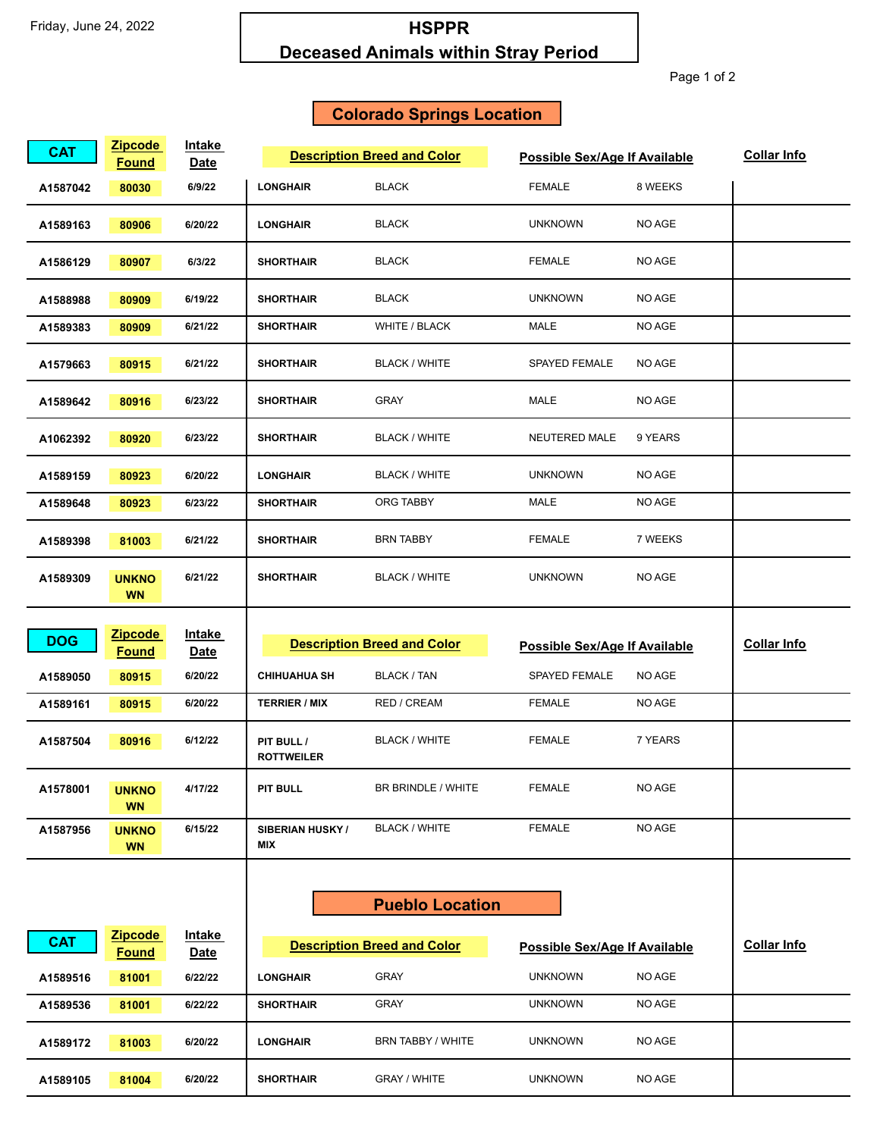## **HSPPR Deceased Animals within Stray Period**

Page 1 of 2

## **Colorado Springs Location**

| <b>CAT</b>           | <b>Zipcode</b><br><b>Found</b> | Intake<br>Date         |                                             | <b>Description Breed and Color</b> | Possible Sex/Age If Available        |         | <b>Collar Info</b> |
|----------------------|--------------------------------|------------------------|---------------------------------------------|------------------------------------|--------------------------------------|---------|--------------------|
| A1587042             | 80030                          | 6/9/22                 | <b>LONGHAIR</b>                             | <b>BLACK</b>                       | <b>FEMALE</b>                        | 8 WEEKS |                    |
| A1589163             | 80906                          | 6/20/22                | <b>LONGHAIR</b>                             | <b>BLACK</b>                       | <b>UNKNOWN</b>                       | NO AGE  |                    |
| A1586129             | 80907                          | 6/3/22                 | <b>SHORTHAIR</b>                            | <b>BLACK</b>                       | <b>FEMALE</b>                        | NO AGE  |                    |
| A1588988             | 80909                          | 6/19/22                | <b>SHORTHAIR</b>                            | <b>BLACK</b>                       | <b>UNKNOWN</b>                       | NO AGE  |                    |
| A1589383             | 80909                          | 6/21/22                | <b>SHORTHAIR</b>                            | WHITE / BLACK                      | MALE                                 | NO AGE  |                    |
| A1579663             | 80915                          | 6/21/22                | <b>SHORTHAIR</b>                            | <b>BLACK / WHITE</b>               | <b>SPAYED FEMALE</b>                 | NO AGE  |                    |
| A1589642             | 80916                          | 6/23/22                | <b>SHORTHAIR</b>                            | GRAY                               | MALE                                 | NO AGE  |                    |
| A1062392             | 80920                          | 6/23/22                | <b>SHORTHAIR</b>                            | <b>BLACK / WHITE</b>               | <b>NEUTERED MALE</b>                 | 9 YEARS |                    |
| A1589159             | 80923                          | 6/20/22                | <b>LONGHAIR</b>                             | <b>BLACK / WHITE</b>               | <b>UNKNOWN</b>                       | NO AGE  |                    |
| A1589648             | 80923                          | 6/23/22                | <b>SHORTHAIR</b>                            | ORG TABBY                          | MALE                                 | NO AGE  |                    |
| A1589398             | 81003                          | 6/21/22                | <b>SHORTHAIR</b>                            | <b>BRN TABBY</b>                   | <b>FEMALE</b>                        | 7 WEEKS |                    |
| A1589309             | <b>UNKNO</b><br><b>WN</b>      | 6/21/22                | <b>SHORTHAIR</b>                            | <b>BLACK / WHITE</b>               | <b>UNKNOWN</b>                       | NO AGE  |                    |
|                      |                                |                        | <b>Description Breed and Color</b>          |                                    | <b>Possible Sex/Age If Available</b> |         |                    |
| <b>DOG</b>           | <b>Zipcode</b>                 | <u>Intake</u>          |                                             |                                    |                                      |         |                    |
|                      | <b>Found</b>                   | <u>Date</u>            |                                             |                                    | <b>SPAYED FEMALE</b>                 | NO AGE  | <b>Collar Info</b> |
| A1589050<br>A1589161 | 80915<br>80915                 | 6/20/22<br>6/20/22     | <b>CHIHUAHUA SH</b><br><b>TERRIER / MIX</b> | BLACK / TAN<br>RED / CREAM         | <b>FEMALE</b>                        | NO AGE  |                    |
| A1587504             | 80916                          | 6/12/22                | PIT BULL /<br><b>ROTTWEILER</b>             | <b>BLACK / WHITE</b>               | <b>FEMALE</b>                        | 7 YEARS |                    |
| A1578001             | <b>UNKNO</b><br><b>WN</b>      | 4/17/22                | <b>PIT BULL</b>                             | BR BRINDLE / WHITE                 | <b>FEMALE</b>                        | NO AGE  |                    |
| A1587956             | <b>UNKNO</b><br><b>WN</b>      | 6/15/22                | <b>SIBERIAN HUSKY/</b><br><b>MIX</b>        | <b>BLACK / WHITE</b>               | <b>FEMALE</b>                        | NO AGE  |                    |
|                      |                                |                        |                                             | <b>Pueblo Location</b>             |                                      |         |                    |
| <b>CAT</b>           | <b>Zipcode</b>                 | <b>Intake</b>          |                                             | <b>Description Breed and Color</b> | Possible Sex/Age If Available        |         | <b>Collar Info</b> |
| A1589516             | <b>Found</b><br>81001          | <u>Date</u><br>6/22/22 | <b>LONGHAIR</b>                             | <b>GRAY</b>                        | <b>UNKNOWN</b>                       | NO AGE  |                    |
| A1589536             | 81001                          | 6/22/22                | <b>SHORTHAIR</b>                            | <b>GRAY</b>                        | <b>UNKNOWN</b>                       | NO AGE  |                    |
| A1589172             | 81003                          | 6/20/22                | <b>LONGHAIR</b>                             | BRN TABBY / WHITE                  | <b>UNKNOWN</b>                       | NO AGE  |                    |
| A1589105             | 81004                          | 6/20/22                | <b>SHORTHAIR</b>                            | <b>GRAY / WHITE</b>                | <b>UNKNOWN</b>                       | NO AGE  |                    |